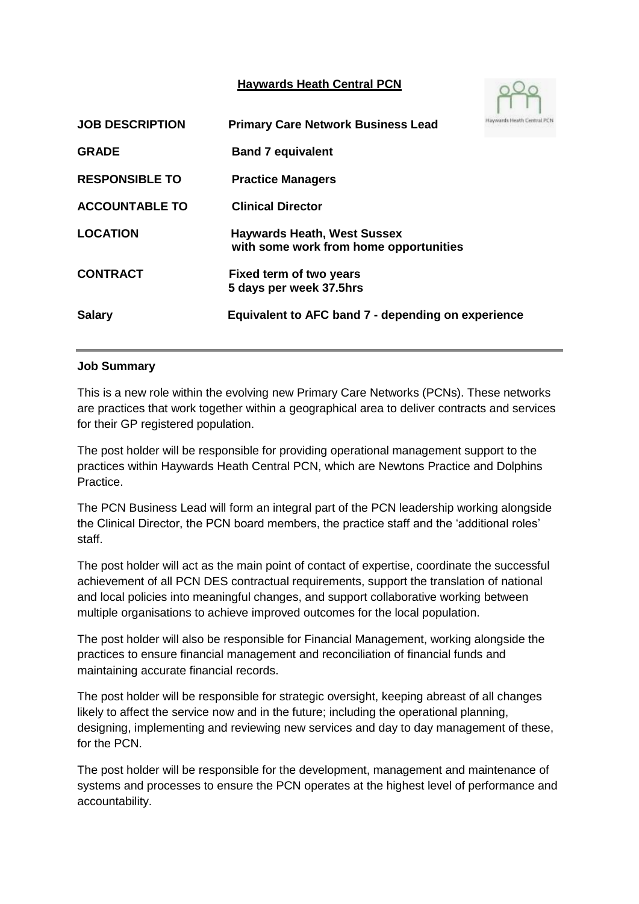## **Haywards Heath Central PCN**



| <b>JOB DESCRIPTION</b> | <b>Primary Care Network Business Lead</b>                                    |  |
|------------------------|------------------------------------------------------------------------------|--|
| <b>GRADE</b>           | <b>Band 7 equivalent</b>                                                     |  |
| <b>RESPONSIBLE TO</b>  | <b>Practice Managers</b>                                                     |  |
| <b>ACCOUNTABLE TO</b>  | <b>Clinical Director</b>                                                     |  |
| <b>LOCATION</b>        | <b>Haywards Heath, West Sussex</b><br>with some work from home opportunities |  |
| <b>CONTRACT</b>        | Fixed term of two years<br>5 days per week 37.5hrs                           |  |
| <b>Salary</b>          | Equivalent to AFC band 7 - depending on experience                           |  |

#### **Job Summary**

This is a new role within the evolving new Primary Care Networks (PCNs). These networks are practices that work together within a geographical area to deliver contracts and services for their GP registered population.

The post holder will be responsible for providing operational management support to the practices within Haywards Heath Central PCN, which are Newtons Practice and Dolphins Practice.

The PCN Business Lead will form an integral part of the PCN leadership working alongside the Clinical Director, the PCN board members, the practice staff and the 'additional roles' staff.

The post holder will act as the main point of contact of expertise, coordinate the successful achievement of all PCN DES contractual requirements, support the translation of national and local policies into meaningful changes, and support collaborative working between multiple organisations to achieve improved outcomes for the local population.

The post holder will also be responsible for Financial Management, working alongside the practices to ensure financial management and reconciliation of financial funds and maintaining accurate financial records.

The post holder will be responsible for strategic oversight, keeping abreast of all changes likely to affect the service now and in the future; including the operational planning, designing, implementing and reviewing new services and day to day management of these, for the PCN.

The post holder will be responsible for the development, management and maintenance of systems and processes to ensure the PCN operates at the highest level of performance and accountability.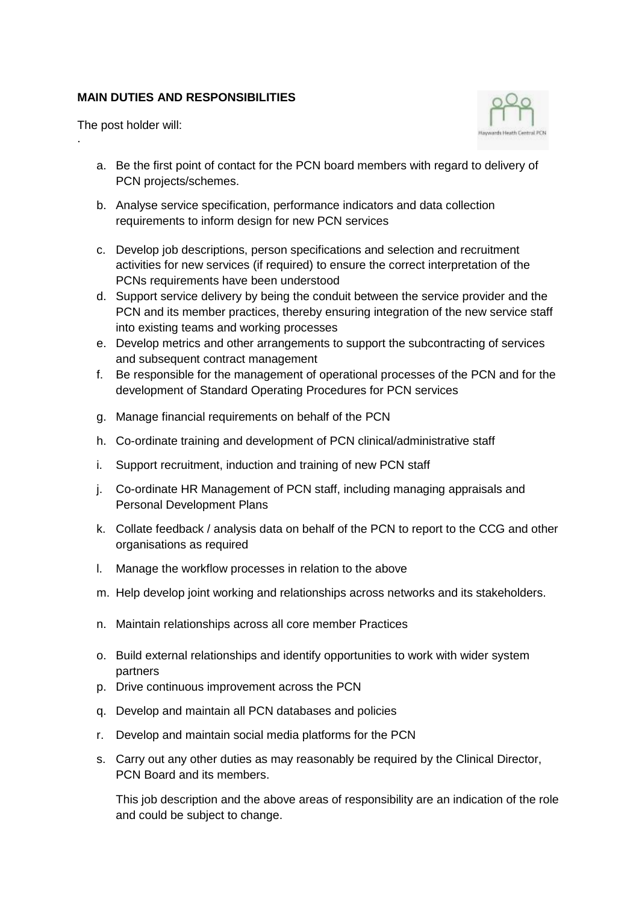## **MAIN DUTIES AND RESPONSIBILITIES**

The post holder will:

.



- a. Be the first point of contact for the PCN board members with regard to delivery of PCN projects/schemes.
- b. Analyse service specification, performance indicators and data collection requirements to inform design for new PCN services
- c. Develop job descriptions, person specifications and selection and recruitment activities for new services (if required) to ensure the correct interpretation of the PCNs requirements have been understood
- d. Support service delivery by being the conduit between the service provider and the PCN and its member practices, thereby ensuring integration of the new service staff into existing teams and working processes
- e. Develop metrics and other arrangements to support the subcontracting of services and subsequent contract management
- f. Be responsible for the management of operational processes of the PCN and for the development of Standard Operating Procedures for PCN services
- g. Manage financial requirements on behalf of the PCN
- h. Co-ordinate training and development of PCN clinical/administrative staff
- i. Support recruitment, induction and training of new PCN staff
- j. Co-ordinate HR Management of PCN staff, including managing appraisals and Personal Development Plans
- k. Collate feedback / analysis data on behalf of the PCN to report to the CCG and other organisations as required
- l. Manage the workflow processes in relation to the above
- m. Help develop joint working and relationships across networks and its stakeholders.
- n. Maintain relationships across all core member Practices
- o. Build external relationships and identify opportunities to work with wider system partners
- p. Drive continuous improvement across the PCN
- q. Develop and maintain all PCN databases and policies
- r. Develop and maintain social media platforms for the PCN
- s. Carry out any other duties as may reasonably be required by the Clinical Director, PCN Board and its members.

This job description and the above areas of responsibility are an indication of the role and could be subject to change.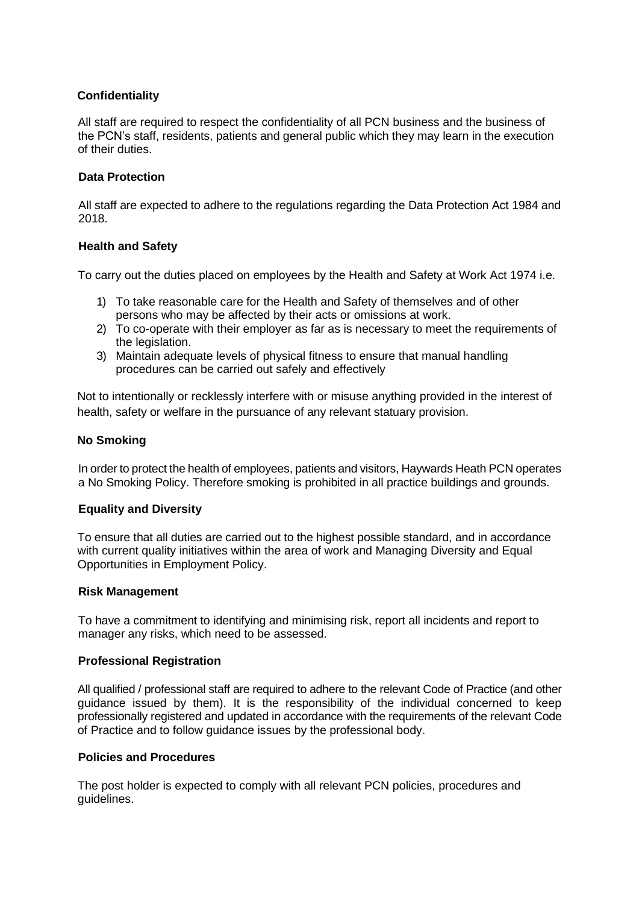### **Confidentiality**

All staff are required to respect the confidentiality of all PCN business and the business of the PCN's staff, residents, patients and general public which they may learn in the execution of their duties.

#### **Data Protection**

All staff are expected to adhere to the regulations regarding the Data Protection Act 1984 and 2018.

#### **Health and Safety**

To carry out the duties placed on employees by the Health and Safety at Work Act 1974 i.e.

- 1) To take reasonable care for the Health and Safety of themselves and of other persons who may be affected by their acts or omissions at work.
- 2) To co-operate with their employer as far as is necessary to meet the requirements of the legislation.
- 3) Maintain adequate levels of physical fitness to ensure that manual handling procedures can be carried out safely and effectively

Not to intentionally or recklessly interfere with or misuse anything provided in the interest of health, safety or welfare in the pursuance of any relevant statuary provision.

#### **No Smoking**

In order to protect the health of employees, patients and visitors, Haywards Heath PCN operates a No Smoking Policy. Therefore smoking is prohibited in all practice buildings and grounds.

#### **Equality and Diversity**

To ensure that all duties are carried out to the highest possible standard, and in accordance with current quality initiatives within the area of work and Managing Diversity and Equal Opportunities in Employment Policy.

#### **Risk Management**

To have a commitment to identifying and minimising risk, report all incidents and report to manager any risks, which need to be assessed.

#### **Professional Registration**

All qualified / professional staff are required to adhere to the relevant Code of Practice (and other guidance issued by them). It is the responsibility of the individual concerned to keep professionally registered and updated in accordance with the requirements of the relevant Code of Practice and to follow guidance issues by the professional body.

#### **Policies and Procedures**

The post holder is expected to comply with all relevant PCN policies, procedures and guidelines.